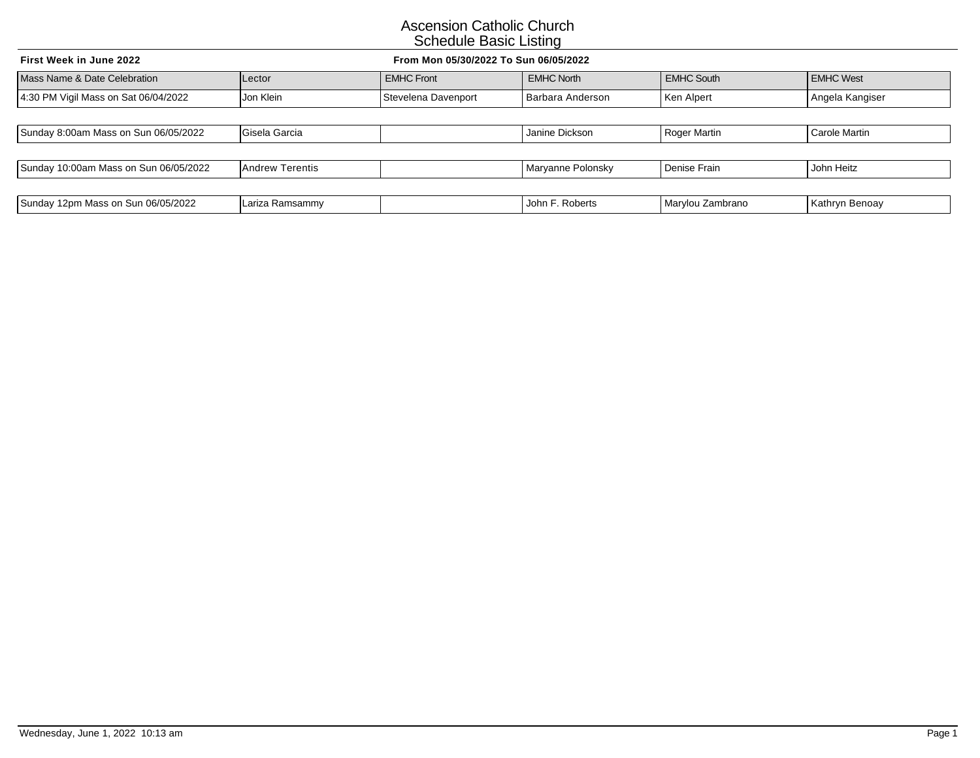| First Week in June 2022<br>From Mon 05/30/2022 To Sun 06/05/2022 |                        |                     |                   |                   |                  |  |  |
|------------------------------------------------------------------|------------------------|---------------------|-------------------|-------------------|------------------|--|--|
| Mass Name & Date Celebration                                     | Lector                 | <b>EMHC Front</b>   | <b>EMHC North</b> | <b>EMHC South</b> | <b>EMHC West</b> |  |  |
| 4:30 PM Vigil Mass on Sat 06/04/2022                             | Jon Klein              | Stevelena Davenport | Barbara Anderson  | Ken Alpert        | Angela Kangiser  |  |  |
|                                                                  |                        |                     |                   |                   |                  |  |  |
| Sunday 8:00am Mass on Sun 06/05/2022                             | Gisela Garcia          |                     | Janine Dickson    | Roger Martin      | Carole Martin    |  |  |
|                                                                  |                        |                     |                   |                   |                  |  |  |
| Sunday 10:00am Mass on Sun 06/05/2022                            | <b>Andrew Terentis</b> |                     | Maryanne Polonsky | Denise Frain      | John Heitz       |  |  |
|                                                                  |                        |                     |                   |                   |                  |  |  |
| Sunday 12pm Mass on Sun 06/05/2022                               | Lariza Ramsammy        |                     | John F. Roberts   | Marylou Zambrano  | Kathryn Benoay   |  |  |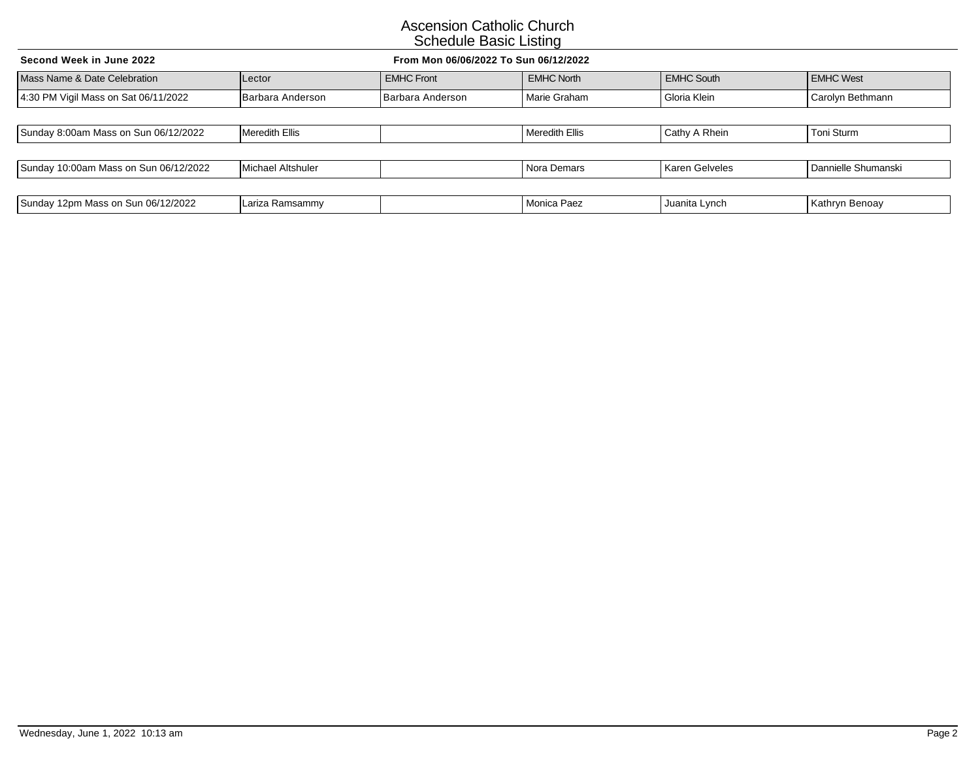| From Mon 06/06/2022 To Sun 06/12/2022<br>Second Week in June 2022 |                       |                   |                   |                   |                     |
|-------------------------------------------------------------------|-----------------------|-------------------|-------------------|-------------------|---------------------|
| Mass Name & Date Celebration                                      | Lector                | <b>EMHC Front</b> | <b>EMHC North</b> | <b>EMHC South</b> | <b>EMHC West</b>    |
| 4:30 PM Vigil Mass on Sat 06/11/2022                              | Barbara Anderson      | Barbara Anderson  | Marie Graham      | Gloria Klein      | Carolyn Bethmann    |
|                                                                   |                       |                   |                   |                   |                     |
| Sunday 8:00am Mass on Sun 06/12/2022                              | <b>Meredith Ellis</b> |                   | Meredith Ellis    | Cathy A Rhein     | Toni Sturm          |
|                                                                   |                       |                   |                   |                   |                     |
| Sunday 10:00am Mass on Sun 06/12/2022                             | Michael Altshuler     |                   | Nora Demars       | Karen Gelveles    | Dannielle Shumanski |
|                                                                   |                       |                   |                   |                   |                     |
| Sunday 12pm Mass on Sun 06/12/2022                                | Lariza Ramsammy       |                   | Monica Paez       | Juanita Lynch     | Kathryn Benoay      |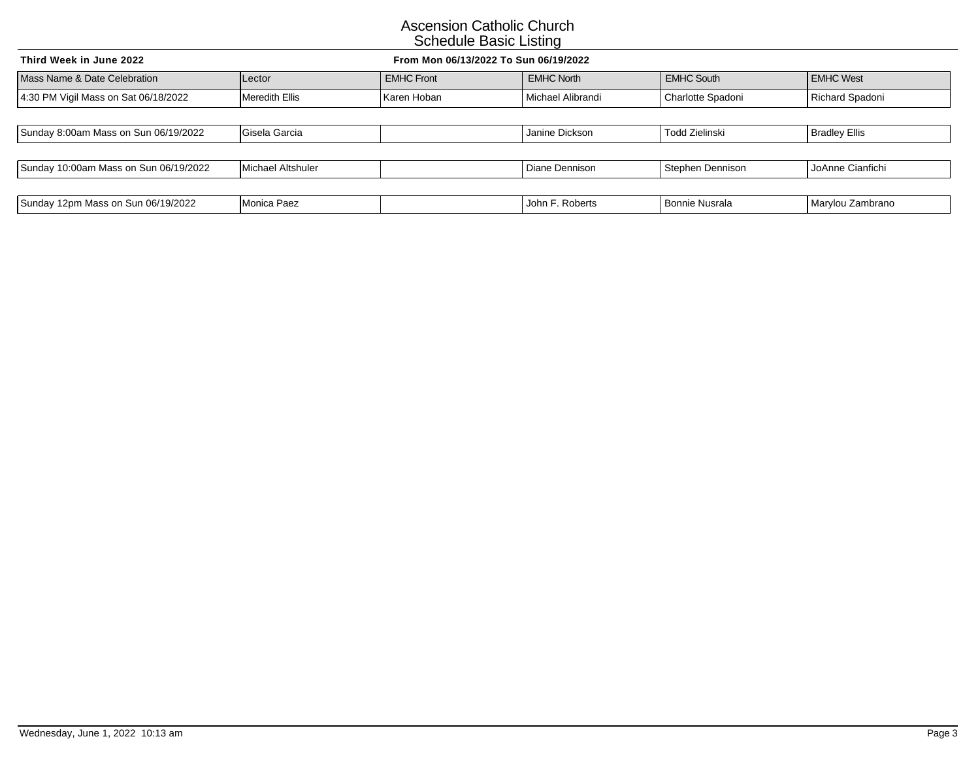| From Mon 06/13/2022 To Sun 06/19/2022<br>Third Week in June 2022 |                   |                   |                   |                       |                      |  |
|------------------------------------------------------------------|-------------------|-------------------|-------------------|-----------------------|----------------------|--|
| Mass Name & Date Celebration                                     | Lector            | <b>EMHC Front</b> | <b>EMHC North</b> | <b>EMHC South</b>     | <b>EMHC West</b>     |  |
| 4:30 PM Vigil Mass on Sat 06/18/2022                             | Meredith Ellis    | Karen Hoban       | Michael Alibrandi | Charlotte Spadoni     | Richard Spadoni      |  |
|                                                                  |                   |                   |                   |                       |                      |  |
| Sunday 8:00am Mass on Sun 06/19/2022                             | Gisela Garcia     |                   | Janine Dickson    | Todd Zielinski        | <b>Bradley Ellis</b> |  |
|                                                                  |                   |                   |                   |                       |                      |  |
| Sunday 10:00am Mass on Sun 06/19/2022                            | Michael Altshuler |                   | Diane Dennison    | Stephen Dennison      | JoAnne Cianfichi     |  |
|                                                                  |                   |                   |                   |                       |                      |  |
| Sunday 12pm Mass on Sun 06/19/2022                               | Monica Paez       |                   | John F. Roberts   | <b>Bonnie Nusrala</b> | Marylou Zambrano     |  |